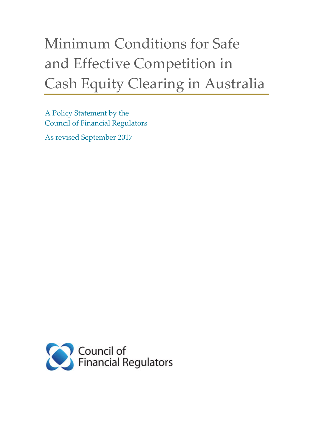# Minimum Conditions for Safe and Effective Competition in Cash Equity Clearing in Australia

A Policy Statement by the Council of Financial Regulators

As revised September 2017

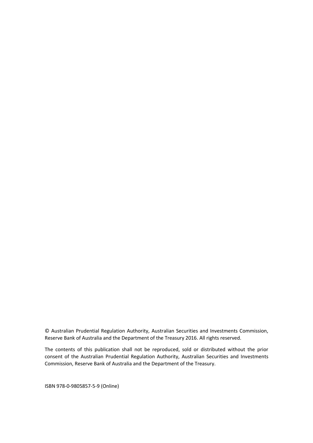© Australian Prudential Regulation Authority, Australian Securities and Investments Commission, Reserve Bank of Australia and the Department of the Treasury 2016. All rights reserved.

The contents of this publication shall not be reproduced, sold or distributed without the prior consent of the Australian Prudential Regulation Authority, Australian Securities and Investments Commission, Reserve Bank of Australia and the Department of the Treasury.

ISBN 978-0-9805857-5-9 (Online)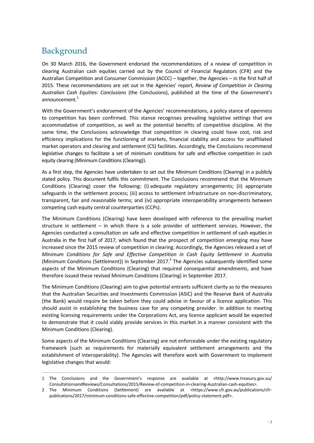## Background

 $\overline{a}$ 

On 30 March 2016, the Government endorsed the recommendations of a review of competition in clearing Australian cash equities carried out by the Council of Financial Regulators (CFR) and the Australian Competition and Consumer Commission (ACCC) – together, the Agencies – in the first half of 2015. These recommendations are set out in the Agencies' report, *Review of Competition in Clearing Australian Cash Equities: Conclusions* (the Conclusions), published at the time of the Government's announcement.<sup>1</sup>

With the Government's endorsement of the Agencies' recommendations, a policy stance of openness to competition has been confirmed. This stance recognises prevailing legislative settings that are accommodative of competition, as well as the potential benefits of competitive discipline. At the same time, the Conclusions acknowledge that competition in clearing could have cost, risk and efficiency implications for the functioning of markets, financial stability and access for unaffiliated market operators and clearing and settlement (CS) facilities. Accordingly, the Conclusions recommend legislative changes to facilitate a set of minimum conditions for safe and effective competition in cash equity clearing (Minimum Conditions(Clearing)).

As a first step, the Agencies have undertaken to set out the Minimum Conditions (Clearing) in a publicly stated policy. This document fulfils this commitment. The Conclusions recommend that the Minimum Conditions (Clearing) cover the following: (i) adequate regulatory arrangements; (ii) appropriate safeguards in the settlement process; (iii) access to settlement infrastructure on non-discriminatory, transparent, fair and reasonable terms; and (iv) appropriate interoperability arrangements between competing cash equity central counterparties (CCPs).

The Minimum Conditions (Clearing) have been developed with reference to the prevailing market structure in settlement – in which there is a sole provider of settlement services. However, the Agencies conducted a consultation on safe and effective competition in settlement of cash equities in Australia in the first half of 2017, which found that the prospect of competition emerging may have increased since the 2015 review of competition in clearing. Accordingly, the Agencies released a set of *Minimum Conditions for Safe and Effective Competition in Cash Equity Settlement in Australia* (Minimum Conditions (Settlement)) in September 2017.<sup>2</sup> The Agencies subsequently identified some aspects of the Minimum Conditions (Clearing) that required consequential amendments, and have therefore issued these revised Minimum Conditions (Clearing) in September 2017.

The Minimum Conditions (Clearing) aim to give potential entrants sufficient clarity as to the measures that the Australian Securities and Investments Commission (ASIC) and the Reserve Bank of Australia (the Bank) would require be taken before they could advise in favour of a licence application. This should assist in establishing the business case for any competing provider. In addition to meeting existing licensing requirements under the Corporations Act, any licence applicant would be expected to demonstrate that it could viably provide services in this market in a manner consistent with the Minimum Conditions (Clearing).

Some aspects of the Minimum Conditions (Clearing) are not enforceable under the existing regulatory framework (such as requirements for materially equivalent settlement arrangements and the establishment of interoperability). The Agencies will therefore work with Government to implement legislative changes that would:

<sup>1</sup> The Conclusions and the Government's response are available at <http://www.treasury.gov.au/ ConsultationsandReviews/Consultations/2015/Review-of-competition-in-clearing-Australian-cash-equities>.

<sup>2</sup> The Minimum Conditions (Settlement) are available at <https://www.cfr.gov.au/publications/cfrpublications/2017/minimum-conditions-safe-effective-competition/pdf/policy-statement.pdf>.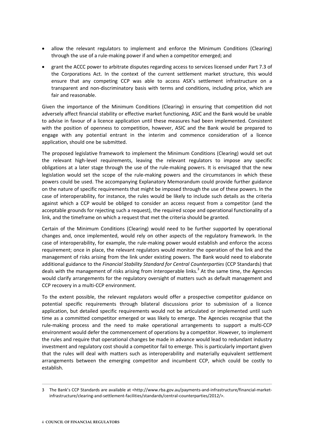- allow the relevant regulators to implement and enforce the Minimum Conditions (Clearing) through the use of a rule-making power if and when a competitor emerged; and
- grant the ACCC power to arbitrate disputes regarding access to services licensed under Part 7.3 of the Corporations Act. In the context of the current settlement market structure, this would ensure that any competing CCP was able to access ASX's settlement infrastructure on a transparent and non-discriminatory basis with terms and conditions, including price, which are fair and reasonable.

Given the importance of the Minimum Conditions (Clearing) in ensuring that competition did not adversely affect financial stability or effective market functioning, ASIC and the Bank would be unable to advise in favour of a licence application until these measures had been implemented. Consistent with the position of openness to competition, however, ASIC and the Bank would be prepared to engage with any potential entrant in the interim and commence consideration of a licence application, should one be submitted.

The proposed legislative framework to implement the Minimum Conditions (Clearing) would set out the relevant high-level requirements, leaving the relevant regulators to impose any specific obligations at a later stage through the use of the rule-making powers. It is envisaged that the new legislation would set the scope of the rule-making powers and the circumstances in which these powers could be used. The accompanying Explanatory Memorandum could provide further guidance on the nature of specific requirements that might be imposed through the use of these powers. In the case of interoperability, for instance, the rules would be likely to include such details as the criteria against which a CCP would be obliged to consider an access request from a competitor (and the acceptable grounds for rejecting such a request), the required scope and operational functionality of a link, and the timeframe on which a request that met the criteria should be granted.

Certain of the Minimum Conditions (Clearing) would need to be further supported by operational changes and, once implemented, would rely on other aspects of the regulatory framework. In the case of interoperability, for example, the rule-making power would establish and enforce the access requirement; once in place, the relevant regulators would monitor the operation of the link and the management of risks arising from the link under existing powers. The Bank would need to elaborate additional guidance to the *Financial Stability Standard for Central Counterparties* (CCP Standards) that deals with the management of risks arising from interoperable links.<sup>3</sup> At the same time, the Agencies would clarify arrangements for the regulatory oversight of matters such as default management and CCP recovery in a multi-CCP environment.

To the extent possible, the relevant regulators would offer a prospective competitor guidance on potential specific requirements through bilateral discussions prior to submission of a licence application, but detailed specific requirements would not be articulated or implemented until such time as a committed competitor emerged or was likely to emerge. The Agencies recognise that the rule-making process and the need to make operational arrangements to support a multi-CCP environment would defer the commencement of operations by a competitor. However, to implement the rules and require that operational changes be made in advance would lead to redundant industry investment and regulatory cost should a competitor fail to emerge. This is particularly important given that the rules will deal with matters such as interoperability and materially equivalent settlement arrangements between the emerging competitor and incumbent CCP, which could be costly to establish.

 $\overline{a}$ 

<sup>3</sup> The Bank's CCP Standards are available at <http://www.rba.gov.au/payments-and-infrastructure/financial-marketinfrastructure/clearing-and-settlement-facilities/standards/central-counterparties/2012/>.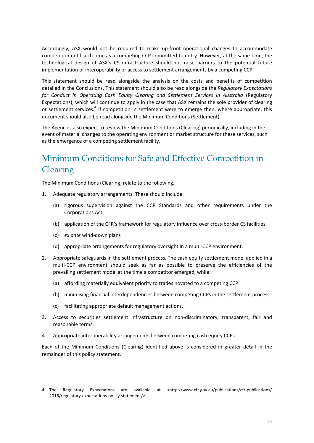Accordingly, ASX would not be required to make up-front operational changes to accommodate competition until such time as a competing CCP committed to entry. However, at the same time, the technological design of ASX's CS infrastructure should not raise barriers to the potential future implementation of interoperability or access to settlement arrangements by a competing CCP.

This statement should be read alongside the analysis on the costs and benefits of competition detailed in the Conclusions. This statement should also be read alongside the *Regulatory Expectations for Conduct in Operating Cash Equity Clearing and Settlement Services in Australia* (Regulatory Expectations), which will continue to apply in the case that ASX remains the sole provider of clearing or settlement services.<sup>4</sup> If competition in settlement were to emerge then, where appropriate, this document should also be read alongside the Minimum Conditions (Settlement).

The Agencies also expect to review the Minimum Conditions (Clearing) periodically, including in the event of material changes to the operating environment or market structure for these services, such as the emergence of a competing settlement facility.

# Minimum Conditions for Safe and Effective Competition in Clearing

The Minimum Conditions (Clearing) relate to the following.

- 1. Adequate regulatory arrangements. These should include:
	- (a) rigorous supervision against the CCP Standards and other requirements under the Corporations Act
	- (b) application of the CFR's framework for regulatory influence over cross-border CS facilities
	- (c) *ex ante* wind-down plans

 $\overline{a}$ 

- (d) appropriate arrangements for regulatory oversight in a multi-CCP environment.
- 2. Appropriate safeguards in the settlement process. The cash equity settlement model applied in a multi-CCP environment should seek as far as possible to preserve the efficiencies of the prevailing settlement model at the time a competitor emerged, while:
	- (a) affording materially equivalent priority to trades novated to a competing CCP
	- (b) minimising financial interdependencies between competing CCPs in the settlement process
	- (c) facilitating appropriate default management actions.
- 3. Access to securities settlement infrastructure on non-discriminatory, transparent, fair and reasonable terms.
- 4. Appropriate interoperability arrangements between competing cash equity CCPs.

Each of the Minimum Conditions (Clearing) identified above is considered in greater detail in the remainder of this policy statement.

<sup>4</sup> The Regulatory Expectations are available at <http://www.cfr.gov.au/publications/cfr-publications/ 2016/regulatory-expectations-policy-statement/>.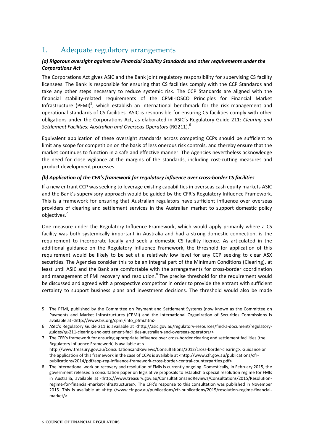### 1. Adequate regulatory arrangements

#### *(a) Rigorous oversight against the Financial Stability Standards and other requirements under the Corporations Act*

The Corporations Act gives ASIC and the Bank joint regulatory responsibility for supervising CS facility licensees. The Bank is responsible for ensuring that CS facilities comply with the CCP Standards and take any other steps necessary to reduce systemic risk. The CCP Standards are aligned with the financial stability-related requirements of the CPMI-IOSCO Principles for Financial Market Infrastructure (PFMI)<sup>5</sup>, which establish an international benchmark for the risk management and operational standards of CS facilities. ASIC is responsible for ensuring CS facilities comply with other obligations under the Corporations Act, as elaborated in ASIC's Regulatory Guide 211: *Clearing and*  Settlement Facilities: Australian and Overseas Operators (RG211).<sup>6</sup>

Equivalent application of these oversight standards across competing CCPs should be sufficient to limit any scope for competition on the basis of less onerous risk controls, and thereby ensure that the market continues to function in a safe and effective manner. The Agencies nevertheless acknowledge the need for close vigilance at the margins of the standards, including cost-cutting measures and product development processes.

#### *(b) Application of the CFR's framework for regulatory influence over cross-border CS facilities*

If a new entrant CCP was seeking to leverage existing capabilities in overseas cash equity markets ASIC and the Bank's supervisory approach would be guided by the CFR's Regulatory Influence Framework. This is a framework for ensuring that Australian regulators have sufficient influence over overseas providers of clearing and settlement services in the Australian market to support domestic policy objectives. 7

One measure under the Regulatory Influence Framework, which would apply primarily where a CS facility was both systemically important in Australia and had a strong domestic connection, is the requirement to incorporate locally and seek a domestic CS facility licence. As articulated in the additional guidance on the Regulatory Influence Framework, the threshold for application of this requirement would be likely to be set at a relatively low level for any CCP seeking to clear ASX securities. The Agencies consider this to be an integral part of the Minimum Conditions (Clearing), at least until ASIC and the Bank are comfortable with the arrangements for cross-border coordination and management of FMI recovery and resolution.<sup>8</sup> The precise threshold for the requirement would be discussed and agreed with a prospective competitor in order to provide the entrant with sufficient certainty to support business plans and investment decisions. The threshold would also be made

7 The CFR's framework for ensuring appropriate influence over cross-border clearing and settlement facilities (the Regulatory Influence Framework) is available at < http://www.treasury.gov.au/ConsultationsandReviews/Consultations/2012/cross-border-clearing>. Guidance on the application of this framework in the case of CCPs is available at <http://www.cfr.gov.au/publications/cfrpublications/2014/pdf/app-reg-influence-framework-cross-border-central-counterparties.pdf>

 $\overline{a}$ 

<sup>5</sup> The PFMI, published by the Committee on Payment and Settlement Systems (now known as the Committee on Payments and Market Infrastructures (CPMI) and the International Organization of Securities Commissions is available at <http://www.bis.org/cpmi/info\_pfmi.htm>

<sup>6</sup> ASIC's Regulatory Guide 211 is available at <http://asic.gov.au/regulatory-resources/find-a-document/regulatoryguides/rg-211-clearing-and-settlement-facilities-australian-and-overseas-operators/>

<sup>8</sup> The international work on recovery and resolution of FMIs is currently ongoing. Domestically, in February 2015, the government released a consultation paper on legislative proposals to establish a special resolution regime for FMIs in Australia, available at <http://www.treasury.gov.au/ConsultationsandReviews/Consultations/2015/Resolutionregime-for-financial-market-infrastructures>. The CFR's response to this consultation was published in November 2015. This is available at <http://www.cfr.gov.au/publications/cfr-publications/2015/resolution-regime-financialmarket/>.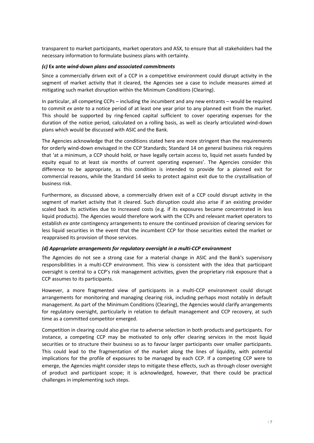transparent to market participants, market operators and ASX, to ensure that all stakeholders had the necessary information to formulate business plans with certainty.

#### *(с)* **Ex ante** *wind-down plans and associated commitments*

Since a commercially driven exit of a CCP in a competitive environment could disrupt activity in the segment of market activity that it cleared, the Agencies see a case to include measures aimed at mitigating such market disruption within the Minimum Conditions (Clearing).

In particular, all competing CCPs – including the incumbent and any new entrants – would be required to commit *ex ante* to a notice period of at least one year prior to any planned exit from the market. This should be supported by ring-fenced capital sufficient to cover operating expenses for the duration of the notice period, calculated on a rolling basis, as well as clearly articulated wind-down plans which would be discussed with ASIC and the Bank.

The Agencies acknowledge that the conditions stated here are more stringent than the requirements for orderly wind-down envisaged in the CCP Standards; Standard 14 on general business risk requires that 'at a minimum, a CCP should hold, or have legally certain access to, liquid net assets funded by equity equal to at least six months of current operating expenses'. The Agencies consider this difference to be appropriate, as this condition is intended to provide for a planned exit for commercial reasons, while the Standard 14 seeks to protect against exit due to the crystallisation of business risk.

Furthermore, as discussed above, a commercially driven exit of a CCP could disrupt activity in the segment of market activity that it cleared. Such disruption could also arise if an existing provider scaled back its activities due to increased costs (e.g. if its exposures became concentrated in less liquid products). The Agencies would therefore work with the CCPs and relevant market operators to establish *ex ante* contingency arrangements to ensure the continued provision of clearing services for less liquid securities in the event that the incumbent CCP for those securities exited the market or reappraised its provision of those services.

#### *(d) Appropriate arrangements for regulatory oversight in a multi-CCP environment*

The Agencies do not see a strong case for a material change in ASIC and the Bank's supervisory responsibilities in a multi-CCP environment. This view is consistent with the idea that participant oversight is central to a CCP's risk management activities, given the proprietary risk exposure that a CCP assumes to its participants.

However, a more fragmented view of participants in a multi-CCP environment could disrupt arrangements for monitoring and managing clearing risk, including perhaps most notably in default management. As part of the Minimum Conditions (Clearing), the Agencies would clarify arrangements for regulatory oversight, particularly in relation to default management and CCP recovery, at such time as a committed competitor emerged.

Competition in clearing could also give rise to adverse selection in both products and participants. For instance, a competing CCP may be motivated to only offer clearing services in the most liquid securities or to structure their business so as to favour larger participants over smaller participants. This could lead to the fragmentation of the market along the lines of liquidity, with potential implications for the profile of exposures to be managed by each CCP. If a competing CCP were to emerge, the Agencies might consider steps to mitigate these effects, such as through closer oversight of product and participant scope; it is acknowledged, however, that there could be practical challenges in implementing such steps.